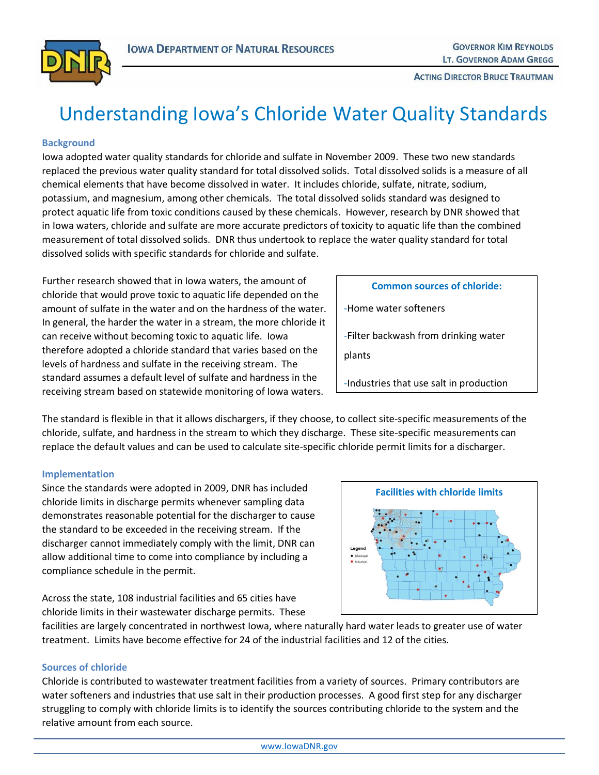

**ACTING DIRECTOR BRUCE TRAUTMAN** 

# Understanding Iowa's Chloride Water Quality Standards

## **Background**

Iowa adopted water quality standards for chloride and sulfate in November 2009. These two new standards replaced the previous water quality standard for total dissolved solids. Total dissolved solids is a measure of all chemical elements that have become dissolved in water. It includes chloride, sulfate, nitrate, sodium, potassium, and magnesium, among other chemicals. The total dissolved solids standard was designed to protect aquatic life from toxic conditions caused by these chemicals. However, research by DNR showed that in Iowa waters, chloride and sulfate are more accurate predictors of toxicity to aquatic life than the combined measurement of total dissolved solids. DNR thus undertook to replace the water quality standard for total dissolved solids with specific standards for chloride and sulfate.

Further research showed that in Iowa waters, the amount of chloride that would prove toxic to aquatic life depended on the amount of sulfate in the water and on the hardness of the water. In general, the harder the water in a stream, the more chloride it can receive without becoming toxic to aquatic life. Iowa therefore adopted a chloride standard that varies based on the levels of hardness and sulfate in the receiving stream. The standard assumes a default level of sulfate and hardness in the receiving stream based on statewide monitoring of Iowa waters.

| <b>Common sources of chloride:</b>             |  |
|------------------------------------------------|--|
| -Home water softeners                          |  |
| -Filter backwash from drinking water<br>plants |  |
| -Industries that use salt in production        |  |
|                                                |  |

The standard is flexible in that it allows dischargers, if they choose, to collect site-specific measurements of the chloride, sulfate, and hardness in the stream to which they discharge. These site-specific measurements can replace the default values and can be used to calculate site-specific chloride permit limits for a discharger.

#### **Implementation**

Since the standards were adopted in 2009, DNR has included chloride limits in discharge permits whenever sampling data demonstrates reasonable potential for the discharger to cause the standard to be exceeded in the receiving stream. If the discharger cannot immediately comply with the limit, DNR can allow additional time to come into compliance by including a compliance schedule in the permit.

Across the state, 108 industrial facilities and 65 cities have chloride limits in their wastewater discharge permits. These



facilities are largely concentrated in northwest Iowa, where naturally hard water leads to greater use of water treatment. Limits have become effective for 24 of the industrial facilities and 12 of the cities.

## **Sources of chloride**

Chloride is contributed to wastewater treatment facilities from a variety of sources. Primary contributors are water softeners and industries that use salt in their production processes. A good first step for any discharger struggling to comply with chloride limits is to identify the sources contributing chloride to the system and the relative amount from each source.